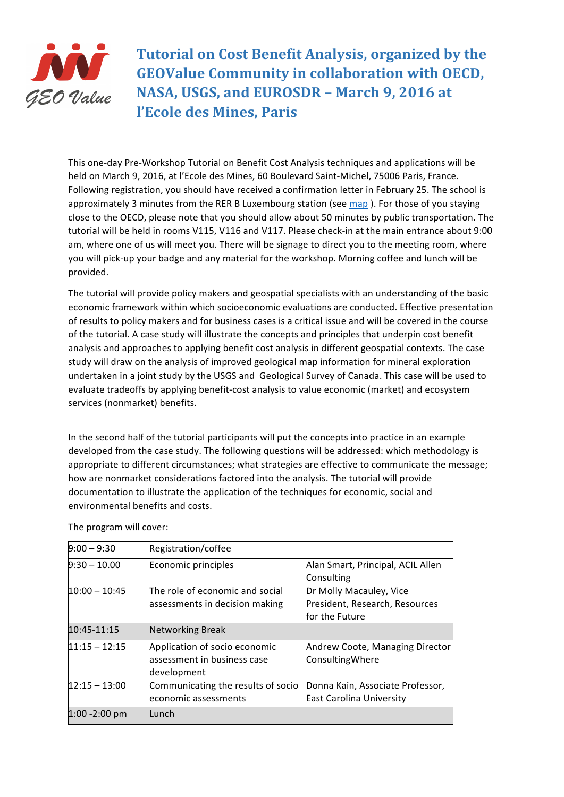

**Tutorial on Cost Benefit Analysis, organized by the GEOValue Community in collaboration with OECD,** NASA, USGS, and EUROSDR - March 9, 2016 at **l'Ecole des Mines, Paris**

This one-day Pre-Workshop Tutorial on Benefit Cost Analysis techniques and applications will be held on March 9, 2016, at l'Ecole des Mines, 60 Boulevard Saint-Michel, 75006 Paris, France. Following registration, you should have received a confirmation letter in February 25. The school is approximately 3 minutes from the RER B Luxembourg station (see map). For those of you staying close to the OECD, please note that you should allow about 50 minutes by public transportation. The tutorial will be held in rooms V115, V116 and V117. Please check-in at the main entrance about 9:00 am, where one of us will meet you. There will be signage to direct you to the meeting room, where you will pick-up your badge and any material for the workshop. Morning coffee and lunch will be provided.

The tutorial will provide policy makers and geospatial specialists with an understanding of the basic economic framework within which socioeconomic evaluations are conducted. Effective presentation of results to policy makers and for business cases is a critical issue and will be covered in the course of the tutorial. A case study will illustrate the concepts and principles that underpin cost benefit analysis and approaches to applying benefit cost analysis in different geospatial contexts. The case study will draw on the analysis of improved geological map information for mineral exploration undertaken in a joint study by the USGS and Geological Survey of Canada. This case will be used to evaluate tradeoffs by applying benefit-cost analysis to value economic (market) and ecosystem services (nonmarket) benefits.

In the second half of the tutorial participants will put the concepts into practice in an example developed from the case study. The following questions will be addressed: which methodology is appropriate to different circumstances; what strategies are effective to communicate the message; how are nonmarket considerations factored into the analysis. The tutorial will provide documentation to illustrate the application of the techniques for economic, social and environmental benefits and costs.

| $9:00 - 9:30$    | Registration/coffee                |                                   |
|------------------|------------------------------------|-----------------------------------|
| $9:30 - 10.00$   | Economic principles                | Alan Smart, Principal, ACIL Allen |
|                  |                                    | Consulting                        |
| $10:00 - 10:45$  | The role of economic and social    | Dr Molly Macauley, Vice           |
|                  | assessments in decision making     | President, Research, Resources    |
|                  |                                    | for the Future                    |
| 10:45-11:15      | Networking Break                   |                                   |
| $11:15 - 12:15$  | Application of socio economic      | Andrew Coote, Managing Director   |
|                  | assessment in business case        | ConsultingWhere                   |
|                  | development                        |                                   |
| $12:15 - 13:00$  | Communicating the results of socio | Donna Kain, Associate Professor,  |
|                  | economic assessments               | <b>East Carolina University</b>   |
| $1:00 - 2:00$ pm | Lunch                              |                                   |

The program will cover: